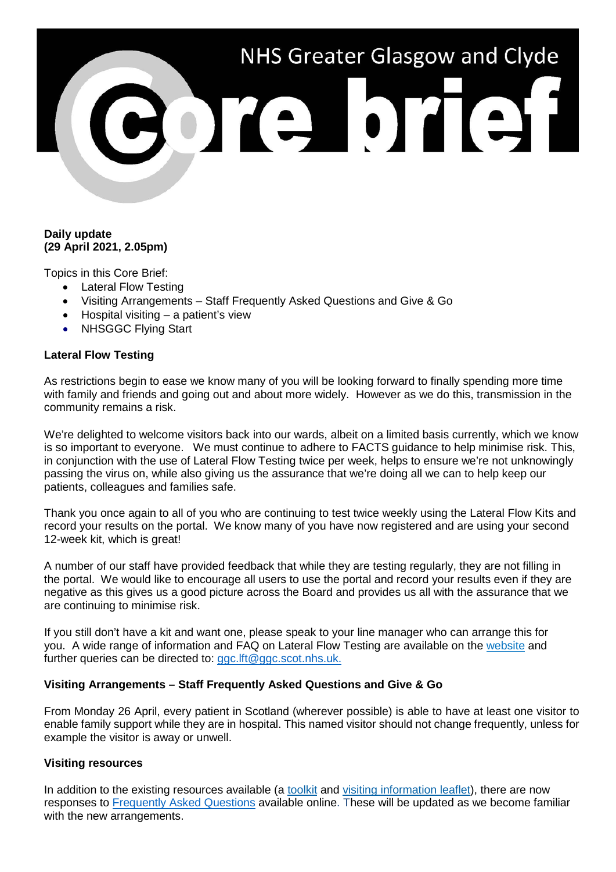# NHS Greater Glasgow and Clyde

## **Daily update (29 April 2021, 2.05pm)**

Topics in this Core Brief:

- Lateral Flow Testing
- Visiting Arrangements Staff Frequently Asked Questions and Give & Go
- Hospital visiting a patient's view
- NHSGGC Flving Start

## **Lateral Flow Testing**

As restrictions begin to ease we know many of you will be looking forward to finally spending more time with family and friends and going out and about more widely. However as we do this, transmission in the community remains a risk.

We're delighted to welcome visitors back into our wards, albeit on a limited basis currently, which we know is so important to everyone. We must continue to adhere to FACTS guidance to help minimise risk. This, in conjunction with the use of Lateral Flow Testing twice per week, helps to ensure we're not unknowingly passing the virus on, while also giving us the assurance that we're doing all we can to help keep our patients, colleagues and families safe.

Thank you once again to all of you who are continuing to test twice weekly using the Lateral Flow Kits and record your results on the portal. We know many of you have now registered and are using your second 12-week kit, which is great!

A number of our staff have provided feedback that while they are testing regularly, they are not filling in the portal. We would like to encourage all users to use the portal and record your results even if they are negative as this gives us a good picture across the Board and provides us all with the assurance that we are continuing to minimise risk.

If you still don't have a kit and want one, please speak to your line manager who can arrange this for you. A wide range of information and FAQ on Lateral Flow Testing are available on the [website](https://www.nhsggc.org.uk/your-health/health-issues/covid-19-coronavirus/for-nhsggc-staff/lateral-flow-device-testing-guidance/) and further queries can be directed to: [ggc.lft@ggc.scot.nhs.uk.](mailto:ggc.lft@ggc.scot.nhs.uk)

# **Visiting Arrangements – Staff Frequently Asked Questions and Give & Go**

From Monday 26 April, every patient in Scotland (wherever possible) is able to have at least one visitor to enable family support while they are in hospital. This named visitor should not change frequently, unless for example the visitor is away or unwell.

### **Visiting resources**

In addition to the existing resources available (a [toolkit](https://www.nhsggc.org.uk/your-health/health-issues/covid-19-coronavirus/for-nhsggc-staff/for-acute-medical-dental-staff/hospital-visiting-toolkit/) and [visiting information leaflet\)](https://www.nhsggc.org.uk/your-health/health-issues/covid-19-coronavirus/for-patients-the-public/patients-hospital-appointments-visiting/hospital-visiting/), there are now responses to [Frequently Asked Questions](https://www.nhsggc.org.uk/media/266552/covid_staff_hospital_visiting_faqs.pdf) available online. These will be updated as we become familiar with the new arrangements.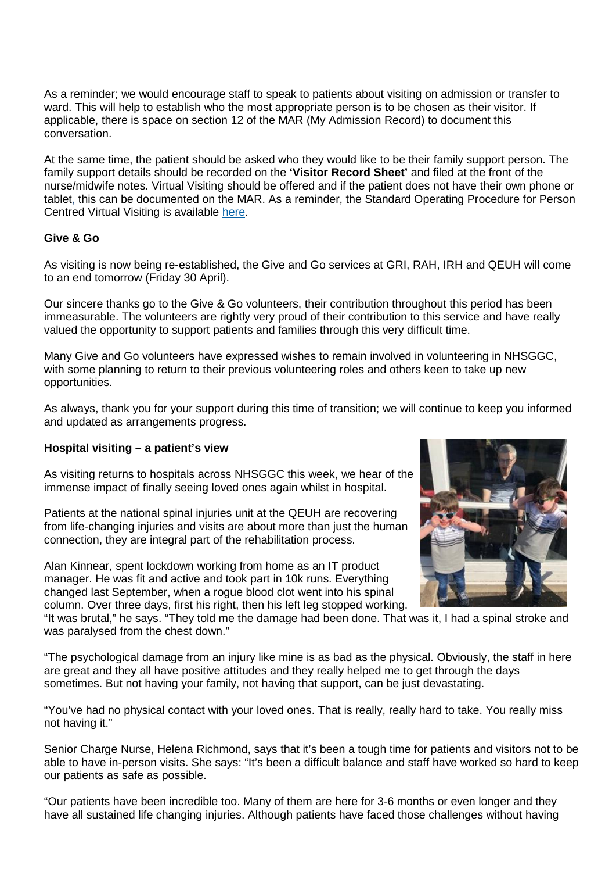As a reminder; we would encourage staff to speak to patients about visiting on admission or transfer to ward. This will help to establish who the most appropriate person is to be chosen as their visitor. If applicable, there is space on section 12 of the MAR (My Admission Record) to document this conversation.

At the same time, the patient should be asked who they would like to be their family support person. The family support details should be recorded on the **'Visitor Record Sheet'** and filed at the front of the nurse/midwife notes. Virtual Visiting should be offered and if the patient does not have their own phone or tablet, this can be documented on the MAR. As a reminder, the Standard Operating Procedure for Person Centred Virtual Visiting is available [here.](https://www.nhsggc.org.uk/media/266530/pcvv-sop-for-patient-facing-staff-v3.pdf)

## **Give & Go**

As visiting is now being re-established, the Give and Go services at GRI, RAH, IRH and QEUH will come to an end tomorrow (Friday 30 April).

Our sincere thanks go to the Give & Go volunteers, their contribution throughout this period has been immeasurable. The volunteers are rightly very proud of their contribution to this service and have really valued the opportunity to support patients and families through this very difficult time.

Many Give and Go volunteers have expressed wishes to remain involved in volunteering in NHSGGC, with some planning to return to their previous volunteering roles and others keen to take up new opportunities.

As always, thank you for your support during this time of transition; we will continue to keep you informed and updated as arrangements progress.

### **Hospital visiting – a patient's view**

As visiting returns to hospitals across NHSGGC this week, we hear of the immense impact of finally seeing loved ones again whilst in hospital.

Patients at the national spinal injuries unit at the QEUH are recovering from life-changing injuries and visits are about more than just the human connection, they are integral part of the rehabilitation process.

Alan Kinnear, spent lockdown working from home as an IT product manager. He was fit and active and took part in 10k runs. Everything changed last September, when a rogue blood clot went into his spinal column. Over three days, first his right, then his left leg stopped working.



"It was brutal," he says. "They told me the damage had been done. That was it, I had a spinal stroke and was paralysed from the chest down."

"The psychological damage from an injury like mine is as bad as the physical. Obviously, the staff in here are great and they all have positive attitudes and they really helped me to get through the days sometimes. But not having your family, not having that support, can be just devastating.

"You've had no physical contact with your loved ones. That is really, really hard to take. You really miss not having it."

Senior Charge Nurse, Helena Richmond, says that it's been a tough time for patients and visitors not to be able to have in-person visits. She says: "It's been a difficult balance and staff have worked so hard to keep our patients as safe as possible.

"Our patients have been incredible too. Many of them are here for 3-6 months or even longer and they have all sustained life changing injuries. Although patients have faced those challenges without having